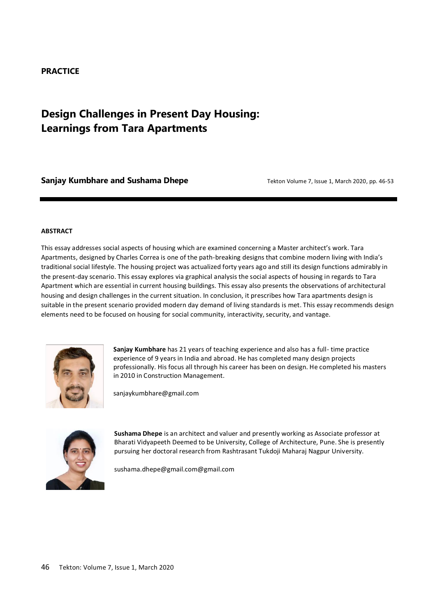### **PRACTICE**

# **Design Challenges in Present Day Housing: Learnings from Tara Apartments**

**Sanjay Kumbhare and Sushama Dhepe Tekton Volume 7, Issue 1, March 2020, pp. 46-53** 

#### **ABSTRACT**

This essay addresses social aspects of housing which are examined concerning a Master architect's work. Tara Apartments, designed by Charles Correa is one of the path-breaking designs that combine modern living with India's traditional social lifestyle. The housing project was actualized forty years ago and still its design functions admirably in the present-day scenario. This essay explores via graphical analysis the social aspects of housing in regards to Tara Apartment which are essential in current housing buildings. This essay also presents the observations of architectural housing and design challenges in the current situation. In conclusion, it prescribes how Tara apartments design is suitable in the present scenario provided modern day demand of living standards is met. This essay recommends design elements need to be focused on housing for social community, interactivity, security, and vantage.



**Sanjay Kumbhare** has 21 years of teaching experience and also has a full- time practice experience of 9 years in India and abroad. He has completed many design projects professionally. His focus all through his career has been on design. He completed his masters in 2010 in Construction Management.

sanjaykumbhare@gmail.com



**Sushama Dhepe** is an architect and valuer and presently working as Associate professor at Bharati Vidyapeeth Deemed to be University, College of Architecture, Pune. She is presently pursuing her doctoral research from Rashtrasant Tukdoji Maharaj Nagpur University.

sushama.dhepe@gmail.com@gmail.com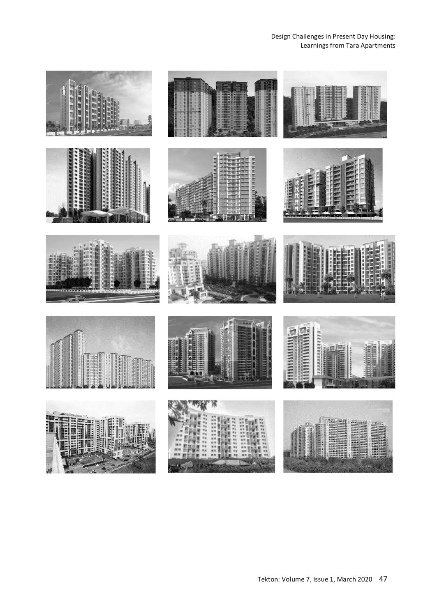### Design Challenges in Present Day Housing: Learnings from Tara Apartments

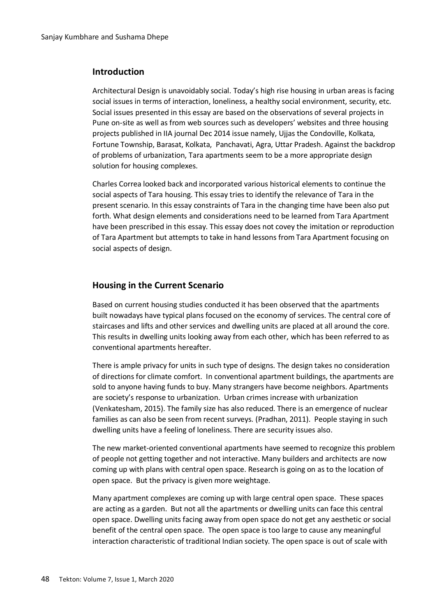## **Introduction**

Architectural Design is unavoidably social. Today's high rise housing in urban areas is facing social issues in terms of interaction, loneliness, a healthy social environment, security, etc. Social issues presented in this essay are based on the observations of several projects in Pune on-site as well as from web sources such as developers' websites and three housing projects published in IIA journal Dec 2014 issue namely, Ujjas the Condoville, Kolkata, Fortune Township, Barasat, Kolkata, Panchavati, Agra, Uttar Pradesh. Against the backdrop of problems of urbanization, Tara apartments seem to be a more appropriate design solution for housing complexes.

Charles Correa looked back and incorporated various historical elements to continue the social aspects of Tara housing. This essay tries to identify the relevance of Tara in the present scenario. In this essay constraints of Tara in the changing time have been also put forth. What design elements and considerations need to be learned from Tara Apartment have been prescribed in this essay. This essay does not covey the imitation or reproduction of Tara Apartment but attempts to take in hand lessons from Tara Apartment focusing on social aspects of design.

# **Housing in the Current Scenario**

Based on current housing studies conducted it has been observed that the apartments built nowadays have typical plans focused on the economy of services. The central core of staircases and lifts and other services and dwelling units are placed at all around the core. This results in dwelling units looking away from each other, which has been referred to as conventional apartments hereafter.

There is ample privacy for units in such type of designs. The design takes no consideration of directions for climate comfort. In conventional apartment buildings, the apartments are sold to anyone having funds to buy. Many strangers have become neighbors. Apartments are society's response to urbanization. Urban crimes increase with urbanization (Venkatesham, 2015). The family size has also reduced. There is an emergence of nuclear families as can also be seen from recent surveys. (Pradhan, 2011). People staying in such dwelling units have a feeling of loneliness. There are security issues also.

The new market-oriented conventional apartments have seemed to recognize this problem of people not getting together and not interactive. Many builders and architects are now coming up with plans with central open space. Research is going on as to the location of open space. But the privacy is given more weightage.

Many apartment complexes are coming up with large central open space. These spaces are acting as a garden. But not all the apartments or dwelling units can face this central open space. Dwelling units facing away from open space do not get any aesthetic or social benefit of the central open space. The open space is too large to cause any meaningful interaction characteristic of traditional Indian society. The open space is out of scale with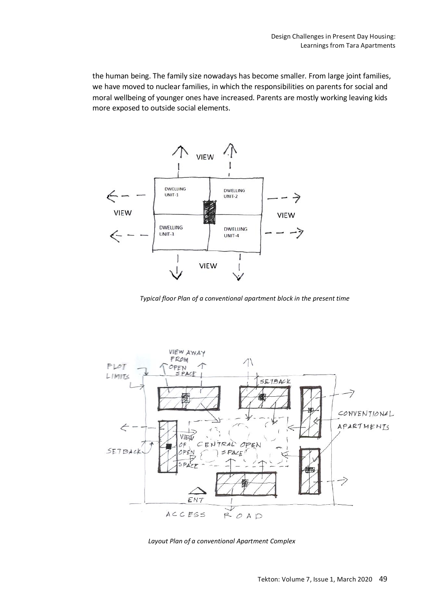the human being. The family size nowadays has become smaller. From large joint families, we have moved to nuclear families, in which the responsibilities on parents for social and moral wellbeing of younger ones have increased. Parents are mostly working leaving kids more exposed to outside social elements.



 *Typical floor Plan of a conventional apartment block in the present time*



 *Layout Plan of a conventional Apartment Complex*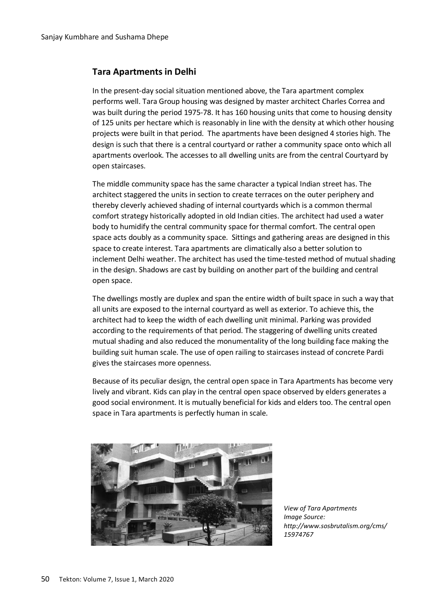# **Tara Apartments in Delhi**

In the present-day social situation mentioned above, the Tara apartment complex performs well. Tara Group housing was designed by master architect Charles Correa and was built during the period 1975-78. It has 160 housing units that come to housing density of 125 units per hectare which is reasonably in line with the density at which other housing projects were built in that period. The apartments have been designed 4 stories high. The design is such that there is a central courtyard or rather a community space onto which all apartments overlook. The accesses to all dwelling units are from the central Courtyard by open staircases.

The middle community space has the same character a typical Indian street has. The architect staggered the units in section to create terraces on the outer periphery and thereby cleverly achieved shading of internal courtyards which is a common thermal comfort strategy historically adopted in old Indian cities. The architect had used a water body to humidify the central community space for thermal comfort. The central open space acts doubly as a community space. Sittings and gathering areas are designed in this space to create interest. Tara apartments are climatically also a better solution to inclement Delhi weather. The architect has used the time-tested method of mutual shading in the design. Shadows are cast by building on another part of the building and central open space.

The dwellings mostly are duplex and span the entire width of built space in such a way that all units are exposed to the internal courtyard as well as exterior. To achieve this, the architect had to keep the width of each dwelling unit minimal. Parking was provided according to the requirements of that period. The staggering of dwelling units created mutual shading and also reduced the monumentality of the long building face making the building suit human scale. The use of open railing to staircases instead of concrete Pardi gives the staircases more openness.

Because of its peculiar design, the central open space in Tara Apartments has become very lively and vibrant. Kids can play in the central open space observed by elders generates a good social environment. It is mutually beneficial for kids and elders too. The central open space in Tara apartments is perfectly human in scale.



*View of Tara Apartments Image Source: http://www.sosbrutalism.org/cms/ 15974767*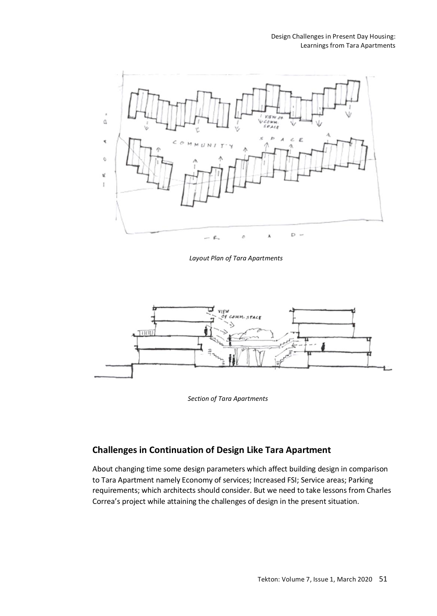

 *Layout Plan of Tara Apartments*



 *Section of Tara Apartments*

# **Challenges in Continuation of Design Like Tara Apartment**

About changing time some design parameters which affect building design in comparison to Tara Apartment namely Economy of services; Increased FSI; Service areas; Parking requirements; which architects should consider. But we need to take lessons from Charles Correa's project while attaining the challenges of design in the present situation.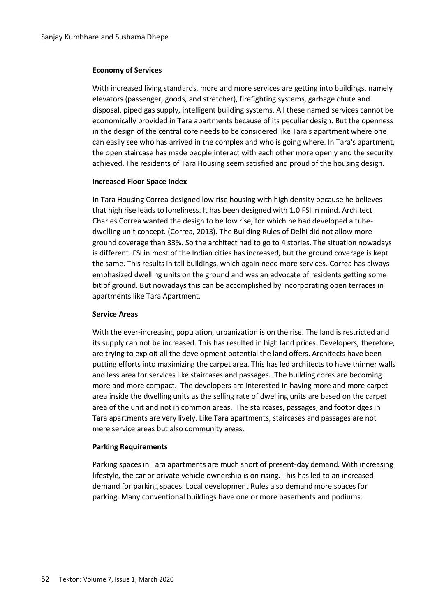### **Economy of Services**

With increased living standards, more and more services are getting into buildings, namely elevators (passenger, goods, and stretcher), firefighting systems, garbage chute and disposal, piped gas supply, intelligent building systems. All these named services cannot be economically provided in Tara apartments because of its peculiar design. But the openness in the design of the central core needs to be considered like Tara's apartment where one can easily see who has arrived in the complex and who is going where. In Tara's apartment, the open staircase has made people interact with each other more openly and the security achieved. The residents of Tara Housing seem satisfied and proud of the housing design.

### **Increased Floor Space Index**

In Tara Housing Correa designed low rise housing with high density because he believes that high rise leads to loneliness. It has been designed with 1.0 FSI in mind. Architect Charles Correa wanted the design to be low rise, for which he had developed a tubedwelling unit concept. (Correa, 2013). The Building Rules of Delhi did not allow more ground coverage than 33%. So the architect had to go to 4 stories. The situation nowadays is different. FSI in most of the Indian cities has increased, but the ground coverage is kept the same. This results in tall buildings, which again need more services. Correa has always emphasized dwelling units on the ground and was an advocate of residents getting some bit of ground. But nowadays this can be accomplished by incorporating open terraces in apartments like Tara Apartment.

### **Service Areas**

With the ever-increasing population, urbanization is on the rise. The land is restricted and its supply can not be increased. This has resulted in high land prices. Developers, therefore, are trying to exploit all the development potential the land offers. Architects have been putting efforts into maximizing the carpet area. This has led architects to have thinner walls and less area for services like staircases and passages. The building cores are becoming more and more compact. The developers are interested in having more and more carpet area inside the dwelling units as the selling rate of dwelling units are based on the carpet area of the unit and not in common areas. The staircases, passages, and footbridges in Tara apartments are very lively. Like Tara apartments, staircases and passages are not mere service areas but also community areas.

#### **Parking Requirements**

Parking spaces in Tara apartments are much short of present-day demand. With increasing lifestyle, the car or private vehicle ownership is on rising. This has led to an increased demand for parking spaces. Local development Rules also demand more spaces for parking. Many conventional buildings have one or more basements and podiums.